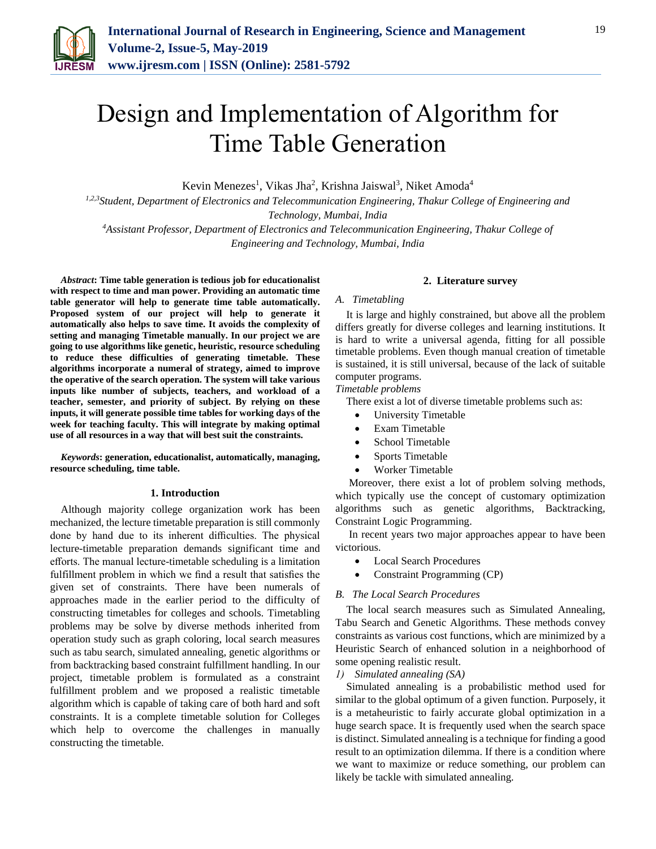

# Design and Implementation of Algorithm for Time Table Generation

Kevin Menezes<sup>1</sup>, Vikas Jha<sup>2</sup>, Krishna Jaiswal<sup>3</sup>, Niket Amoda<sup>4</sup>

*1,2,3Student, Department of Electronics and Telecommunication Engineering, Thakur College of Engineering and Technology, Mumbai, India*

*<sup>4</sup>Assistant Professor, Department of Electronics and Telecommunication Engineering, Thakur College of Engineering and Technology, Mumbai, India*

*Abstract***: Time table generation is tedious job for educationalist with respect to time and man power. Providing an automatic time table generator will help to generate time table automatically. Proposed system of our project will help to generate it automatically also helps to save time. It avoids the complexity of setting and managing Timetable manually. In our project we are going to use algorithms like genetic, heuristic, resource scheduling to reduce these difficulties of generating timetable. These algorithms incorporate a numeral of strategy, aimed to improve the operative of the search operation. The system will take various inputs like number of subjects, teachers, and workload of a teacher, semester, and priority of subject. By relying on these inputs, it will generate possible time tables for working days of the week for teaching faculty. This will integrate by making optimal use of all resources in a way that will best suit the constraints.**

*Keywords***: generation, educationalist, automatically, managing, resource scheduling, time table.**

#### **1. Introduction**

Although majority college organization work has been mechanized, the lecture timetable preparation is still commonly done by hand due to its inherent difficulties. The physical lecture-timetable preparation demands significant time and efforts. The manual lecture-timetable scheduling is a limitation fulfillment problem in which we find a result that satisfies the given set of constraints. There have been numerals of approaches made in the earlier period to the difficulty of constructing timetables for colleges and schools. Timetabling problems may be solve by diverse methods inherited from operation study such as graph coloring, local search measures such as tabu search, simulated annealing, genetic algorithms or from backtracking based constraint fulfillment handling. In our project, timetable problem is formulated as a constraint fulfillment problem and we proposed a realistic timetable algorithm which is capable of taking care of both hard and soft constraints. It is a complete timetable solution for Colleges which help to overcome the challenges in manually constructing the timetable.

#### **2. Literature survey**

#### *A. Timetabling*

It is large and highly constrained, but above all the problem differs greatly for diverse colleges and learning institutions. It is hard to write a universal agenda, fitting for all possible timetable problems. Even though manual creation of timetable is sustained, it is still universal, because of the lack of suitable computer programs.

*Timetable problems* 

There exist a lot of diverse timetable problems such as:

- University Timetable
- Exam Timetable
- School Timetable
- Sports Timetable
- Worker Timetable

Moreover, there exist a lot of problem solving methods, which typically use the concept of customary optimization algorithms such as genetic algorithms, Backtracking, Constraint Logic Programming.

In recent years two major approaches appear to have been victorious.

- Local Search Procedures
- Constraint Programming (CP)

#### *B. The Local Search Procedures*

The local search measures such as Simulated Annealing, Tabu Search and Genetic Algorithms. These methods convey constraints as various cost functions, which are minimized by a Heuristic Search of enhanced solution in a neighborhood of some opening realistic result.

*1) Simulated annealing (SA)* 

Simulated annealing is a probabilistic method used for similar to the global optimum of a given function. Purposely, it is a metaheuristic to fairly accurate global optimization in a huge search space. It is frequently used when the search space is distinct. Simulated annealing is a technique for finding a good result to an optimization dilemma. If there is a condition where we want to maximize or reduce something, our problem can likely be tackle with simulated annealing.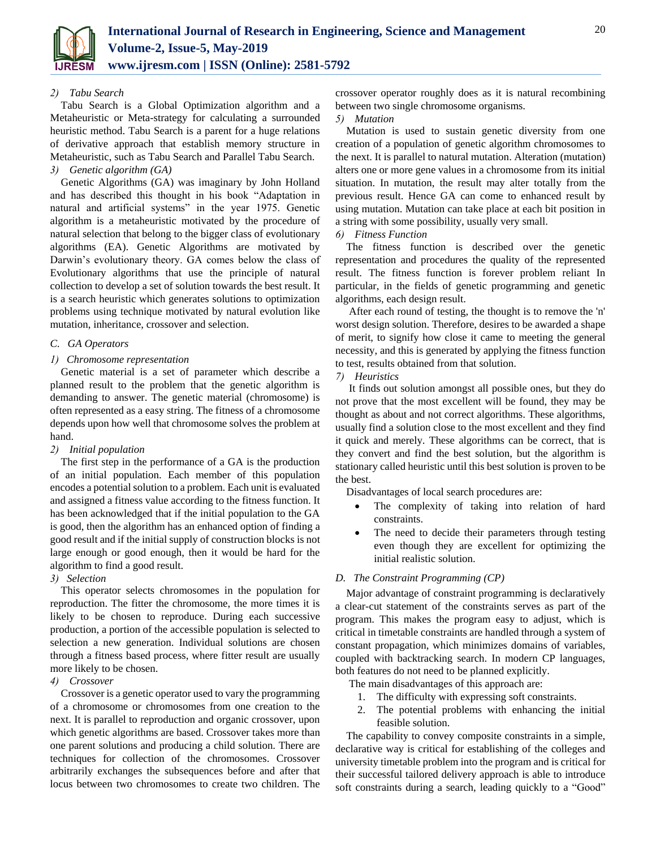

#### *2) Tabu Search*

Tabu Search is a Global Optimization algorithm and a Metaheuristic or Meta-strategy for calculating a surrounded heuristic method. Tabu Search is a parent for a huge relations of derivative approach that establish memory structure in Metaheuristic, such as Tabu Search and Parallel Tabu Search. *3) Genetic algorithm (GA)* 

Genetic Algorithms (GA) was imaginary by John Holland and has described this thought in his book "Adaptation in natural and artificial systems" in the year 1975. Genetic algorithm is a metaheuristic motivated by the procedure of natural selection that belong to the bigger class of evolutionary algorithms (EA). Genetic Algorithms are motivated by Darwin's evolutionary theory. GA comes below the class of Evolutionary algorithms that use the principle of natural collection to develop a set of solution towards the best result. It is a search heuristic which generates solutions to optimization problems using technique motivated by natural evolution like mutation, inheritance, crossover and selection.

#### *C. GA Operators*

## *1) Chromosome representation*

Genetic material is a set of parameter which describe a planned result to the problem that the genetic algorithm is demanding to answer. The genetic material (chromosome) is often represented as a easy string. The fitness of a chromosome depends upon how well that chromosome solves the problem at hand.

#### *2) Initial population*

The first step in the performance of a GA is the production of an initial population. Each member of this population encodes a potential solution to a problem. Each unit is evaluated and assigned a fitness value according to the fitness function. It has been acknowledged that if the initial population to the GA is good, then the algorithm has an enhanced option of finding a good result and if the initial supply of construction blocks is not large enough or good enough, then it would be hard for the algorithm to find a good result.

## *3) Selection*

This operator selects chromosomes in the population for reproduction. The fitter the chromosome, the more times it is likely to be chosen to reproduce. During each successive production, a portion of the accessible population is selected to selection a new generation. Individual solutions are chosen through a fitness based process, where fitter result are usually more likely to be chosen.

#### *4) Crossover*

Crossover is a genetic operator used to vary the programming of a chromosome or chromosomes from one creation to the next. It is parallel to reproduction and organic crossover, upon which genetic algorithms are based. Crossover takes more than one parent solutions and producing a child solution. There are techniques for collection of the chromosomes. Crossover arbitrarily exchanges the subsequences before and after that locus between two chromosomes to create two children. The crossover operator roughly does as it is natural recombining between two single chromosome organisms.

## *5) Mutation*

Mutation is used to sustain genetic diversity from one creation of a population of genetic algorithm chromosomes to the next. It is parallel to natural mutation. Alteration (mutation) alters one or more gene values in a chromosome from its initial situation. In mutation, the result may alter totally from the previous result. Hence GA can come to enhanced result by using mutation. Mutation can take place at each bit position in a string with some possibility, usually very small.

#### *6) Fitness Function*

The fitness function is described over the genetic representation and procedures the quality of the represented result. The fitness function is forever problem reliant In particular, in the fields of genetic programming and genetic algorithms, each design result.

After each round of testing, the thought is to remove the 'n' worst design solution. Therefore, desires to be awarded a shape of merit, to signify how close it came to meeting the general necessity, and this is generated by applying the fitness function to test, results obtained from that solution.

## *7) Heuristics*

It finds out solution amongst all possible ones, but they do not prove that the most excellent will be found, they may be thought as about and not correct algorithms. These algorithms, usually find a solution close to the most excellent and they find it quick and merely. These algorithms can be correct, that is they convert and find the best solution, but the algorithm is stationary called heuristic until this best solution is proven to be the best.

Disadvantages of local search procedures are:

- The complexity of taking into relation of hard constraints.
- The need to decide their parameters through testing even though they are excellent for optimizing the initial realistic solution.

## *D. The Constraint Programming (CP)*

Major advantage of constraint programming is declaratively a clear-cut statement of the constraints serves as part of the program. This makes the program easy to adjust, which is critical in timetable constraints are handled through a system of constant propagation, which minimizes domains of variables, coupled with backtracking search. In modern CP languages, both features do not need to be planned explicitly.

The main disadvantages of this approach are:

- 1. The difficulty with expressing soft constraints.
- 2. The potential problems with enhancing the initial feasible solution.

The capability to convey composite constraints in a simple, declarative way is critical for establishing of the colleges and university timetable problem into the program and is critical for their successful tailored delivery approach is able to introduce soft constraints during a search, leading quickly to a "Good"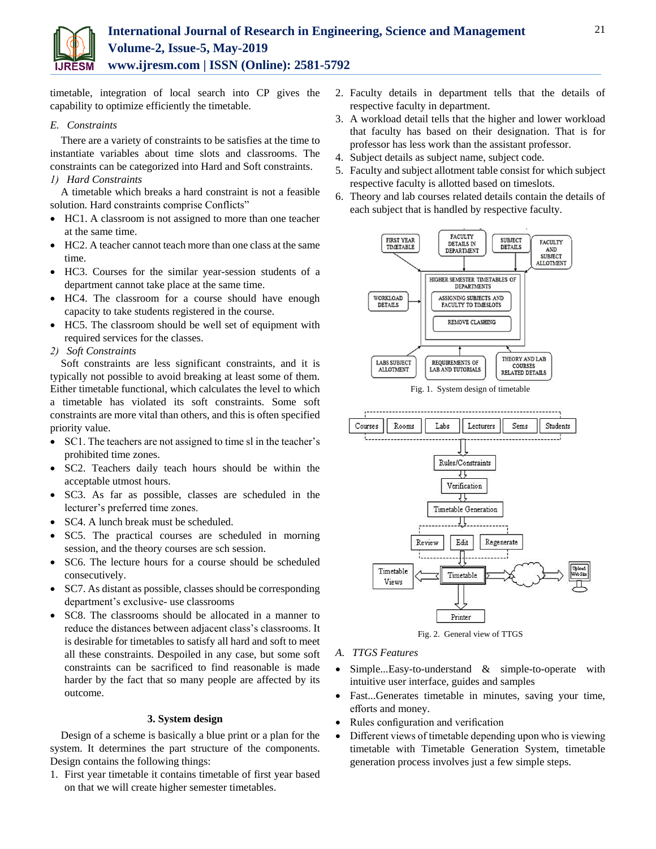

timetable, integration of local search into CP gives the capability to optimize efficiently the timetable.

#### *E. Constraints*

There are a variety of constraints to be satisfies at the time to instantiate variables about time slots and classrooms. The constraints can be categorized into Hard and Soft constraints.

## *1) Hard Constraints*

A timetable which breaks a hard constraint is not a feasible solution. Hard constraints comprise Conflicts"

- HC1. A classroom is not assigned to more than one teacher at the same time.
- HC2. A teacher cannot teach more than one class at the same time.
- HC3. Courses for the similar year-session students of a department cannot take place at the same time.
- HC4. The classroom for a course should have enough capacity to take students registered in the course.
- HC5. The classroom should be well set of equipment with required services for the classes.

# *2) Soft Constraints*

Soft constraints are less significant constraints, and it is typically not possible to avoid breaking at least some of them. Either timetable functional, which calculates the level to which a timetable has violated its soft constraints. Some soft constraints are more vital than others, and this is often specified priority value.

- SC1. The teachers are not assigned to time sl in the teacher's prohibited time zones.
- SC2. Teachers daily teach hours should be within the acceptable utmost hours.
- SC3. As far as possible, classes are scheduled in the lecturer's preferred time zones.
- SC4. A lunch break must be scheduled.
- SC5. The practical courses are scheduled in morning session, and the theory courses are sch session.
- SC6. The lecture hours for a course should be scheduled consecutively.
- SC7. As distant as possible, classes should be corresponding department's exclusive- use classrooms
- SC8. The classrooms should be allocated in a manner to reduce the distances between adjacent class's classrooms. It is desirable for timetables to satisfy all hard and soft to meet all these constraints. Despoiled in any case, but some soft constraints can be sacrificed to find reasonable is made harder by the fact that so many people are affected by its outcome.

## **3. System design**

Design of a scheme is basically a blue print or a plan for the system. It determines the part structure of the components. Design contains the following things:

1. First year timetable it contains timetable of first year based on that we will create higher semester timetables.

- 2. Faculty details in department tells that the details of respective faculty in department.
- 3. A workload detail tells that the higher and lower workload that faculty has based on their designation. That is for professor has less work than the assistant professor.
- 4. Subject details as subject name, subject code.
- 5. Faculty and subject allotment table consist for which subject respective faculty is allotted based on timeslots.
- 6. Theory and lab courses related details contain the details of each subject that is handled by respective faculty.





Fig. 2. General view of TTGS

- *A. TTGS Features*
- Simple...Easy-to-understand & simple-to-operate with intuitive user interface, guides and samples
- Fast...Generates timetable in minutes, saving your time, efforts and money.
- Rules configuration and verification
- Different views of timetable depending upon who is viewing timetable with Timetable Generation System, timetable generation process involves just a few simple steps.